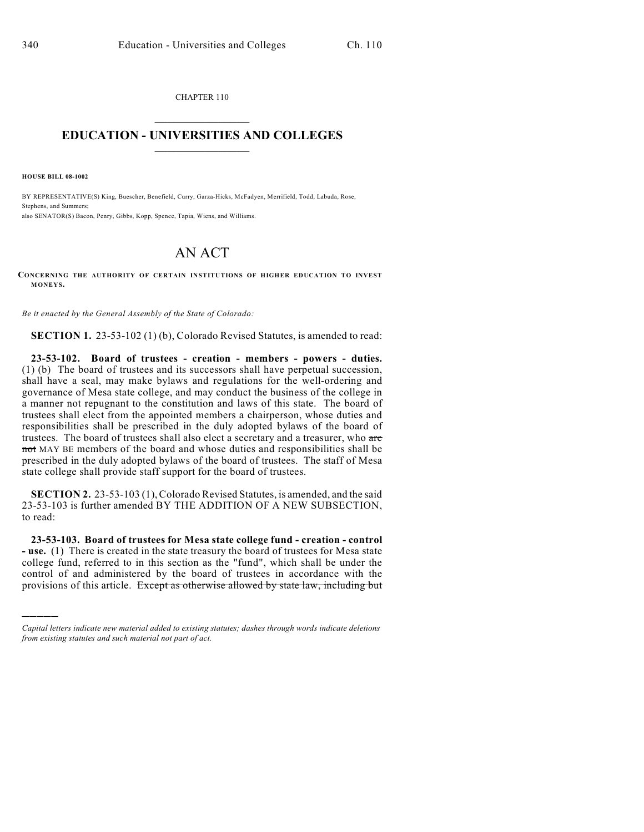CHAPTER 110  $\mathcal{L}_\text{max}$  . The set of the set of the set of the set of the set of the set of the set of the set of the set of the set of the set of the set of the set of the set of the set of the set of the set of the set of the set

## **EDUCATION - UNIVERSITIES AND COLLEGES**  $\_$

**HOUSE BILL 08-1002**

)))))

BY REPRESENTATIVE(S) King, Buescher, Benefield, Curry, Garza-Hicks, McFadyen, Merrifield, Todd, Labuda, Rose, Stephens, and Summers; also SENATOR(S) Bacon, Penry, Gibbs, Kopp, Spence, Tapia, Wiens, and Williams.

## AN ACT

**CONCERNING THE AUTHORITY OF CERTAIN INSTITUTIONS OF HIGHER EDUCATION TO INVEST MONEYS.**

*Be it enacted by the General Assembly of the State of Colorado:*

**SECTION 1.** 23-53-102 (1) (b), Colorado Revised Statutes, is amended to read:

**23-53-102. Board of trustees - creation - members - powers - duties.** (1) (b) The board of trustees and its successors shall have perpetual succession, shall have a seal, may make bylaws and regulations for the well-ordering and governance of Mesa state college, and may conduct the business of the college in a manner not repugnant to the constitution and laws of this state. The board of trustees shall elect from the appointed members a chairperson, whose duties and responsibilities shall be prescribed in the duly adopted bylaws of the board of trustees. The board of trustees shall also elect a secretary and a treasurer, who are not MAY BE members of the board and whose duties and responsibilities shall be prescribed in the duly adopted bylaws of the board of trustees. The staff of Mesa state college shall provide staff support for the board of trustees.

**SECTION 2.** 23-53-103 (1), Colorado Revised Statutes, is amended, and the said 23-53-103 is further amended BY THE ADDITION OF A NEW SUBSECTION, to read:

**23-53-103. Board of trustees for Mesa state college fund - creation - control - use.** (1) There is created in the state treasury the board of trustees for Mesa state college fund, referred to in this section as the "fund", which shall be under the control of and administered by the board of trustees in accordance with the provisions of this article. Except as otherwise allowed by state law, including but

*Capital letters indicate new material added to existing statutes; dashes through words indicate deletions from existing statutes and such material not part of act.*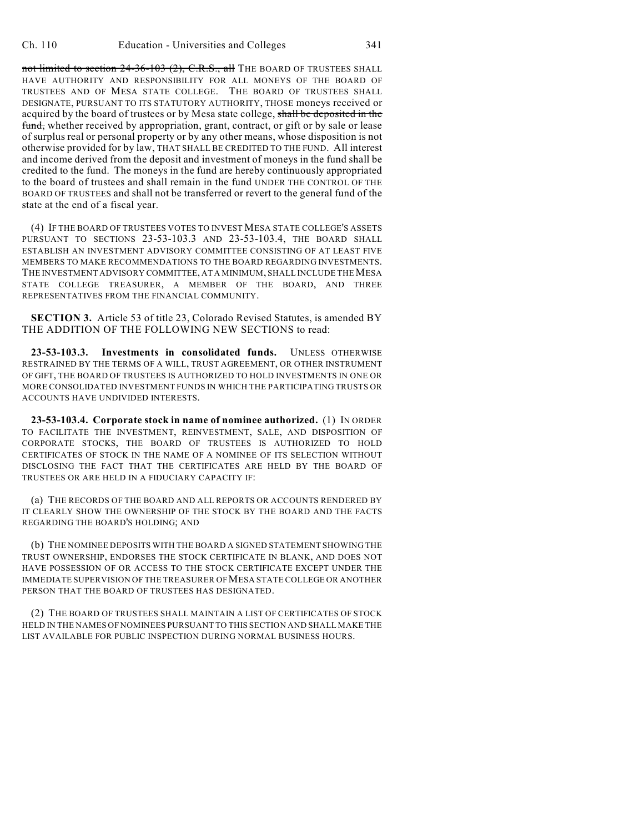not limited to section 24-36-103 (2), C.R.S., all THE BOARD OF TRUSTEES SHALL HAVE AUTHORITY AND RESPONSIBILITY FOR ALL MONEYS OF THE BOARD OF TRUSTEES AND OF MESA STATE COLLEGE. THE BOARD OF TRUSTEES SHALL DESIGNATE, PURSUANT TO ITS STATUTORY AUTHORITY, THOSE moneys received or acquired by the board of trustees or by Mesa state college, shall be deposited in the fund, whether received by appropriation, grant, contract, or gift or by sale or lease of surplus real or personal property or by any other means, whose disposition is not otherwise provided for by law, THAT SHALL BE CREDITED TO THE FUND. All interest and income derived from the deposit and investment of moneys in the fund shall be credited to the fund. The moneys in the fund are hereby continuously appropriated to the board of trustees and shall remain in the fund UNDER THE CONTROL OF THE BOARD OF TRUSTEES and shall not be transferred or revert to the general fund of the state at the end of a fiscal year.

(4) IF THE BOARD OF TRUSTEES VOTES TO INVEST MESA STATE COLLEGE'S ASSETS PURSUANT TO SECTIONS 23-53-103.3 AND 23-53-103.4, THE BOARD SHALL ESTABLISH AN INVESTMENT ADVISORY COMMITTEE CONSISTING OF AT LEAST FIVE MEMBERS TO MAKE RECOMMENDATIONS TO THE BOARD REGARDING INVESTMENTS. THE INVESTMENT ADVISORY COMMITTEE, AT A MINIMUM, SHALL INCLUDE THE MESA STATE COLLEGE TREASURER, A MEMBER OF THE BOARD, AND THREE REPRESENTATIVES FROM THE FINANCIAL COMMUNITY.

**SECTION 3.** Article 53 of title 23, Colorado Revised Statutes, is amended BY THE ADDITION OF THE FOLLOWING NEW SECTIONS to read:

**23-53-103.3. Investments in consolidated funds.** UNLESS OTHERWISE RESTRAINED BY THE TERMS OF A WILL, TRUST AGREEMENT, OR OTHER INSTRUMENT OF GIFT, THE BOARD OF TRUSTEES IS AUTHORIZED TO HOLD INVESTMENTS IN ONE OR MORE CONSOLIDATED INVESTMENT FUNDS IN WHICH THE PARTICIPATING TRUSTS OR ACCOUNTS HAVE UNDIVIDED INTERESTS.

**23-53-103.4. Corporate stock in name of nominee authorized.** (1) IN ORDER TO FACILITATE THE INVESTMENT, REINVESTMENT, SALE, AND DISPOSITION OF CORPORATE STOCKS, THE BOARD OF TRUSTEES IS AUTHORIZED TO HOLD CERTIFICATES OF STOCK IN THE NAME OF A NOMINEE OF ITS SELECTION WITHOUT DISCLOSING THE FACT THAT THE CERTIFICATES ARE HELD BY THE BOARD OF TRUSTEES OR ARE HELD IN A FIDUCIARY CAPACITY IF:

(a) THE RECORDS OF THE BOARD AND ALL REPORTS OR ACCOUNTS RENDERED BY IT CLEARLY SHOW THE OWNERSHIP OF THE STOCK BY THE BOARD AND THE FACTS REGARDING THE BOARD'S HOLDING; AND

(b) THE NOMINEE DEPOSITS WITH THE BOARD A SIGNED STATEMENT SHOWING THE TRUST OWNERSHIP, ENDORSES THE STOCK CERTIFICATE IN BLANK, AND DOES NOT HAVE POSSESSION OF OR ACCESS TO THE STOCK CERTIFICATE EXCEPT UNDER THE IMMEDIATE SUPERVISION OF THE TREASURER OF MESA STATE COLLEGE OR ANOTHER PERSON THAT THE BOARD OF TRUSTEES HAS DESIGNATED.

(2) THE BOARD OF TRUSTEES SHALL MAINTAIN A LIST OF CERTIFICATES OF STOCK HELD IN THE NAMES OF NOMINEES PURSUANT TO THIS SECTION AND SHALL MAKE THE LIST AVAILABLE FOR PUBLIC INSPECTION DURING NORMAL BUSINESS HOURS.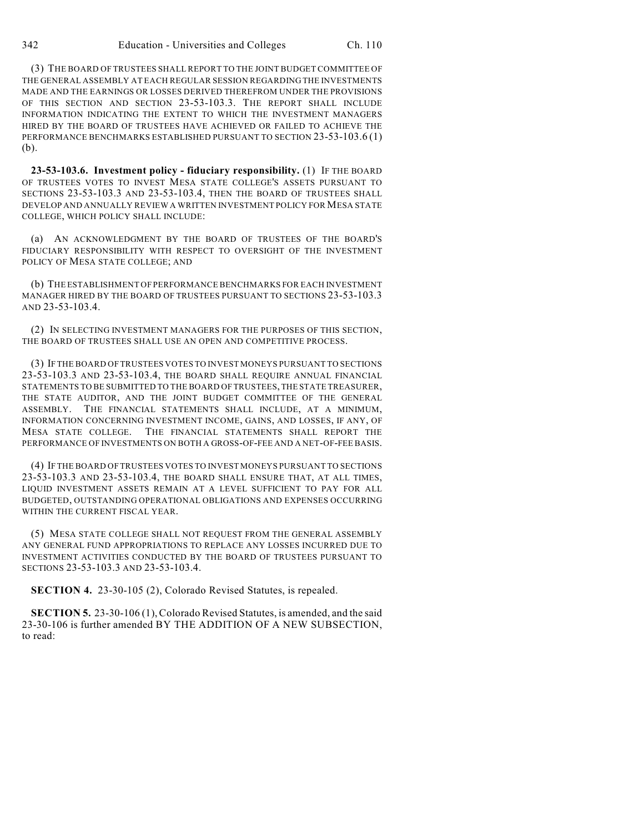(3) THE BOARD OF TRUSTEES SHALL REPORT TO THE JOINT BUDGET COMMITTEE OF THE GENERAL ASSEMBLY AT EACH REGULAR SESSION REGARDING THE INVESTMENTS MADE AND THE EARNINGS OR LOSSES DERIVED THEREFROM UNDER THE PROVISIONS OF THIS SECTION AND SECTION 23-53-103.3. THE REPORT SHALL INCLUDE INFORMATION INDICATING THE EXTENT TO WHICH THE INVESTMENT MANAGERS HIRED BY THE BOARD OF TRUSTEES HAVE ACHIEVED OR FAILED TO ACHIEVE THE PERFORMANCE BENCHMARKS ESTABLISHED PURSUANT TO SECTION 23-53-103.6 (1) (b).

**23-53-103.6. Investment policy - fiduciary responsibility.** (1) IF THE BOARD OF TRUSTEES VOTES TO INVEST MESA STATE COLLEGE'S ASSETS PURSUANT TO SECTIONS 23-53-103.3 AND 23-53-103.4, THEN THE BOARD OF TRUSTEES SHALL DEVELOP AND ANNUALLY REVIEW A WRITTEN INVESTMENT POLICY FOR MESA STATE COLLEGE, WHICH POLICY SHALL INCLUDE:

(a) AN ACKNOWLEDGMENT BY THE BOARD OF TRUSTEES OF THE BOARD'S FIDUCIARY RESPONSIBILITY WITH RESPECT TO OVERSIGHT OF THE INVESTMENT POLICY OF MESA STATE COLLEGE; AND

(b) THE ESTABLISHMENT OF PERFORMANCE BENCHMARKS FOR EACH INVESTMENT MANAGER HIRED BY THE BOARD OF TRUSTEES PURSUANT TO SECTIONS 23-53-103.3 AND 23-53-103.4.

(2) IN SELECTING INVESTMENT MANAGERS FOR THE PURPOSES OF THIS SECTION, THE BOARD OF TRUSTEES SHALL USE AN OPEN AND COMPETITIVE PROCESS.

(3) IF THE BOARD OF TRUSTEES VOTES TO INVEST MONEYS PURSUANT TO SECTIONS 23-53-103.3 AND 23-53-103.4, THE BOARD SHALL REQUIRE ANNUAL FINANCIAL STATEMENTS TO BE SUBMITTED TO THE BOARD OF TRUSTEES, THE STATE TREASURER, THE STATE AUDITOR, AND THE JOINT BUDGET COMMITTEE OF THE GENERAL ASSEMBLY. THE FINANCIAL STATEMENTS SHALL INCLUDE, AT A MINIMUM, INFORMATION CONCERNING INVESTMENT INCOME, GAINS, AND LOSSES, IF ANY, OF MESA STATE COLLEGE. THE FINANCIAL STATEMENTS SHALL REPORT THE PERFORMANCE OF INVESTMENTS ON BOTH A GROSS-OF-FEE AND A NET-OF-FEE BASIS.

(4) IF THE BOARD OF TRUSTEES VOTES TO INVEST MONEYS PURSUANT TO SECTIONS 23-53-103.3 AND 23-53-103.4, THE BOARD SHALL ENSURE THAT, AT ALL TIMES, LIQUID INVESTMENT ASSETS REMAIN AT A LEVEL SUFFICIENT TO PAY FOR ALL BUDGETED, OUTSTANDING OPERATIONAL OBLIGATIONS AND EXPENSES OCCURRING WITHIN THE CURRENT FISCAL YEAR.

(5) MESA STATE COLLEGE SHALL NOT REQUEST FROM THE GENERAL ASSEMBLY ANY GENERAL FUND APPROPRIATIONS TO REPLACE ANY LOSSES INCURRED DUE TO INVESTMENT ACTIVITIES CONDUCTED BY THE BOARD OF TRUSTEES PURSUANT TO SECTIONS 23-53-103.3 AND 23-53-103.4.

**SECTION 4.** 23-30-105 (2), Colorado Revised Statutes, is repealed.

**SECTION 5.** 23-30-106 (1), Colorado Revised Statutes, is amended, and the said 23-30-106 is further amended BY THE ADDITION OF A NEW SUBSECTION, to read: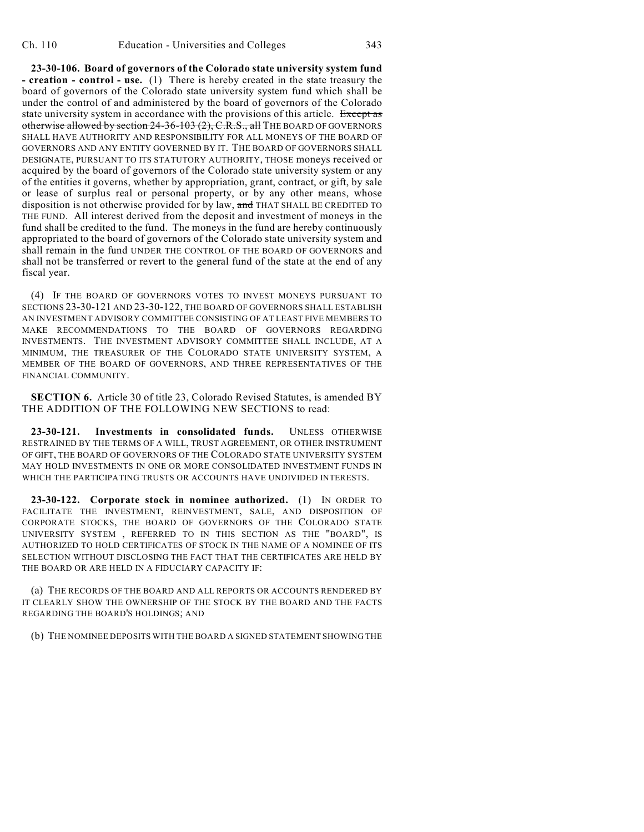**23-30-106. Board of governors of the Colorado state university system fund - creation - control - use.** (1) There is hereby created in the state treasury the board of governors of the Colorado state university system fund which shall be under the control of and administered by the board of governors of the Colorado state university system in accordance with the provisions of this article. Except as otherwise allowed by section 24-36-103 (2), C.R.S., all THE BOARD OF GOVERNORS SHALL HAVE AUTHORITY AND RESPONSIBILITY FOR ALL MONEYS OF THE BOARD OF GOVERNORS AND ANY ENTITY GOVERNED BY IT. THE BOARD OF GOVERNORS SHALL DESIGNATE, PURSUANT TO ITS STATUTORY AUTHORITY, THOSE moneys received or acquired by the board of governors of the Colorado state university system or any of the entities it governs, whether by appropriation, grant, contract, or gift, by sale or lease of surplus real or personal property, or by any other means, whose disposition is not otherwise provided for by law, and THAT SHALL BE CREDITED TO THE FUND. All interest derived from the deposit and investment of moneys in the fund shall be credited to the fund. The moneys in the fund are hereby continuously appropriated to the board of governors of the Colorado state university system and shall remain in the fund UNDER THE CONTROL OF THE BOARD OF GOVERNORS and shall not be transferred or revert to the general fund of the state at the end of any fiscal year.

(4) IF THE BOARD OF GOVERNORS VOTES TO INVEST MONEYS PURSUANT TO SECTIONS 23-30-121 AND 23-30-122, THE BOARD OF GOVERNORS SHALL ESTABLISH AN INVESTMENT ADVISORY COMMITTEE CONSISTING OF AT LEAST FIVE MEMBERS TO MAKE RECOMMENDATIONS TO THE BOARD OF GOVERNORS REGARDING INVESTMENTS. THE INVESTMENT ADVISORY COMMITTEE SHALL INCLUDE, AT A MINIMUM, THE TREASURER OF THE COLORADO STATE UNIVERSITY SYSTEM, A MEMBER OF THE BOARD OF GOVERNORS, AND THREE REPRESENTATIVES OF THE FINANCIAL COMMUNITY.

**SECTION 6.** Article 30 of title 23, Colorado Revised Statutes, is amended BY THE ADDITION OF THE FOLLOWING NEW SECTIONS to read:

**23-30-121. Investments in consolidated funds.** UNLESS OTHERWISE RESTRAINED BY THE TERMS OF A WILL, TRUST AGREEMENT, OR OTHER INSTRUMENT OF GIFT, THE BOARD OF GOVERNORS OF THE COLORADO STATE UNIVERSITY SYSTEM MAY HOLD INVESTMENTS IN ONE OR MORE CONSOLIDATED INVESTMENT FUNDS IN WHICH THE PARTICIPATING TRUSTS OR ACCOUNTS HAVE UNDIVIDED INTERESTS.

**23-30-122. Corporate stock in nominee authorized.** (1) IN ORDER TO FACILITATE THE INVESTMENT, REINVESTMENT, SALE, AND DISPOSITION OF CORPORATE STOCKS, THE BOARD OF GOVERNORS OF THE COLORADO STATE UNIVERSITY SYSTEM , REFERRED TO IN THIS SECTION AS THE "BOARD", IS AUTHORIZED TO HOLD CERTIFICATES OF STOCK IN THE NAME OF A NOMINEE OF ITS SELECTION WITHOUT DISCLOSING THE FACT THAT THE CERTIFICATES ARE HELD BY THE BOARD OR ARE HELD IN A FIDUCIARY CAPACITY IF:

(a) THE RECORDS OF THE BOARD AND ALL REPORTS OR ACCOUNTS RENDERED BY IT CLEARLY SHOW THE OWNERSHIP OF THE STOCK BY THE BOARD AND THE FACTS REGARDING THE BOARD'S HOLDINGS; AND

(b) THE NOMINEE DEPOSITS WITH THE BOARD A SIGNED STATEMENT SHOWING THE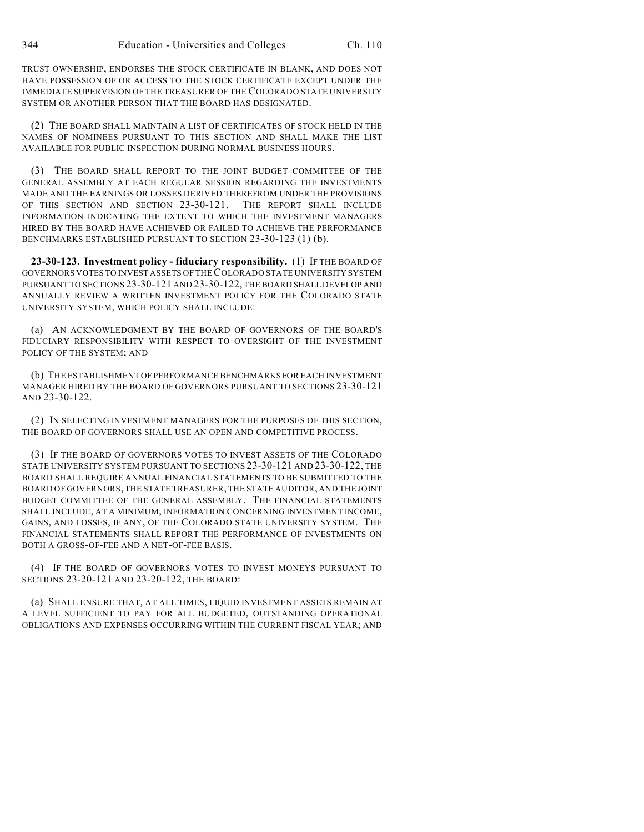TRUST OWNERSHIP, ENDORSES THE STOCK CERTIFICATE IN BLANK, AND DOES NOT HAVE POSSESSION OF OR ACCESS TO THE STOCK CERTIFICATE EXCEPT UNDER THE IMMEDIATE SUPERVISION OF THE TREASURER OF THE COLORADO STATE UNIVERSITY SYSTEM OR ANOTHER PERSON THAT THE BOARD HAS DESIGNATED.

(2) THE BOARD SHALL MAINTAIN A LIST OF CERTIFICATES OF STOCK HELD IN THE NAMES OF NOMINEES PURSUANT TO THIS SECTION AND SHALL MAKE THE LIST AVAILABLE FOR PUBLIC INSPECTION DURING NORMAL BUSINESS HOURS.

(3) THE BOARD SHALL REPORT TO THE JOINT BUDGET COMMITTEE OF THE GENERAL ASSEMBLY AT EACH REGULAR SESSION REGARDING THE INVESTMENTS MADE AND THE EARNINGS OR LOSSES DERIVED THEREFROM UNDER THE PROVISIONS OF THIS SECTION AND SECTION 23-30-121. THE REPORT SHALL INCLUDE INFORMATION INDICATING THE EXTENT TO WHICH THE INVESTMENT MANAGERS HIRED BY THE BOARD HAVE ACHIEVED OR FAILED TO ACHIEVE THE PERFORMANCE BENCHMARKS ESTABLISHED PURSUANT TO SECTION 23-30-123 (1) (b).

**23-30-123. Investment policy - fiduciary responsibility.** (1) IF THE BOARD OF GOVERNORS VOTES TO INVEST ASSETS OF THE COLORADO STATE UNIVERSITY SYSTEM PURSUANT TO SECTIONS 23-30-121 AND 23-30-122, THE BOARD SHALL DEVELOP AND ANNUALLY REVIEW A WRITTEN INVESTMENT POLICY FOR THE COLORADO STATE UNIVERSITY SYSTEM, WHICH POLICY SHALL INCLUDE:

(a) AN ACKNOWLEDGMENT BY THE BOARD OF GOVERNORS OF THE BOARD'S FIDUCIARY RESPONSIBILITY WITH RESPECT TO OVERSIGHT OF THE INVESTMENT POLICY OF THE SYSTEM; AND

(b) THE ESTABLISHMENT OF PERFORMANCE BENCHMARKS FOR EACH INVESTMENT MANAGER HIRED BY THE BOARD OF GOVERNORS PURSUANT TO SECTIONS 23-30-121 AND 23-30-122.

(2) IN SELECTING INVESTMENT MANAGERS FOR THE PURPOSES OF THIS SECTION, THE BOARD OF GOVERNORS SHALL USE AN OPEN AND COMPETITIVE PROCESS.

(3) IF THE BOARD OF GOVERNORS VOTES TO INVEST ASSETS OF THE COLORADO STATE UNIVERSITY SYSTEM PURSUANT TO SECTIONS 23-30-121 AND 23-30-122, THE BOARD SHALL REQUIRE ANNUAL FINANCIAL STATEMENTS TO BE SUBMITTED TO THE BOARD OF GOVERNORS, THE STATE TREASURER, THE STATE AUDITOR, AND THE JOINT BUDGET COMMITTEE OF THE GENERAL ASSEMBLY. THE FINANCIAL STATEMENTS SHALL INCLUDE, AT A MINIMUM, INFORMATION CONCERNING INVESTMENT INCOME, GAINS, AND LOSSES, IF ANY, OF THE COLORADO STATE UNIVERSITY SYSTEM. THE FINANCIAL STATEMENTS SHALL REPORT THE PERFORMANCE OF INVESTMENTS ON BOTH A GROSS-OF-FEE AND A NET-OF-FEE BASIS.

(4) IF THE BOARD OF GOVERNORS VOTES TO INVEST MONEYS PURSUANT TO SECTIONS 23-20-121 AND 23-20-122, THE BOARD:

(a) SHALL ENSURE THAT, AT ALL TIMES, LIQUID INVESTMENT ASSETS REMAIN AT A LEVEL SUFFICIENT TO PAY FOR ALL BUDGETED, OUTSTANDING OPERATIONAL OBLIGATIONS AND EXPENSES OCCURRING WITHIN THE CURRENT FISCAL YEAR; AND